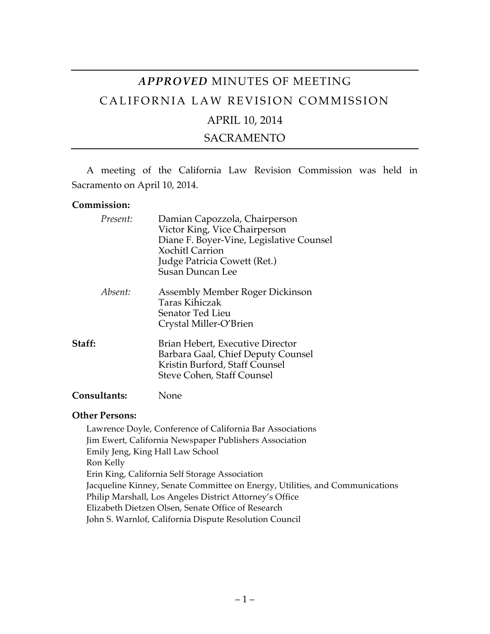# *APPROVED* MINUTES OF MEETING CALIFORNIA LAW REVISION COMMISSION APRIL 10, 2014

# SACRAMENTO

A meeting of the California Law Revision Commission was held in Sacramento on April 10, 2014.

#### **Commission:**

| Present:            | Damian Capozzola, Chairperson<br>Victor King, Vice Chairperson<br>Diane F. Boyer-Vine, Legislative Counsel<br><b>Xochitl Carrion</b><br>Judge Patricia Cowett (Ret.)<br><b>Susan Duncan Lee</b> |
|---------------------|-------------------------------------------------------------------------------------------------------------------------------------------------------------------------------------------------|
| Absent:             | Assembly Member Roger Dickinson<br>Taras Kihiczak<br>Senator Ted Lieu<br>Crystal Miller-O'Brien                                                                                                 |
| Staff:              | Brian Hebert, Executive Director<br>Barbara Gaal, Chief Deputy Counsel<br>Kristin Burford, Staff Counsel<br>Steve Cohen, Staff Counsel                                                          |
| <b>Consultants:</b> | None                                                                                                                                                                                            |

## **Other Persons:**

Lawrence Doyle, Conference of California Bar Associations Jim Ewert, California Newspaper Publishers Association Emily Jeng, King Hall Law School Ron Kelly Erin King, California Self Storage Association Jacqueline Kinney, Senate Committee on Energy, Utilities, and Communications Philip Marshall, Los Angeles District Attorney's Office Elizabeth Dietzen Olsen, Senate Office of Research John S. Warnlof, California Dispute Resolution Council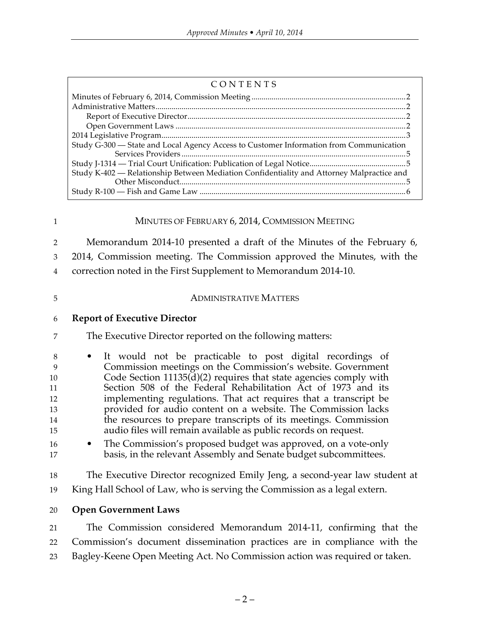| CONTENTS                                                                                  |  |
|-------------------------------------------------------------------------------------------|--|
|                                                                                           |  |
|                                                                                           |  |
|                                                                                           |  |
|                                                                                           |  |
|                                                                                           |  |
| Study G-300 - State and Local Agency Access to Customer Information from Communication    |  |
|                                                                                           |  |
|                                                                                           |  |
| Study K-402 — Relationship Between Mediation Confidentiality and Attorney Malpractice and |  |
|                                                                                           |  |
|                                                                                           |  |

#### MINUTES OF FEBRUARY 6, 2014, COMMISSION MEETING

Memorandum 2014-10 presented a draft of the Minutes of the February 6,

2014, Commission meeting. The Commission approved the Minutes, with the

correction noted in the First Supplement to Memorandum 2014-10.

#### ADMINISTRATIVE MATTERS

#### **Report of Executive Director**

The Executive Director reported on the following matters:

 • It would not be practicable to post digital recordings of Commission meetings on the Commission's website. Government Code Section 11135(d)(2) requires that state agencies comply with Section 508 of the Federal Rehabilitation Act of 1973 and its implementing regulations. That act requires that a transcript be provided for audio content on a website. The Commission lacks the resources to prepare transcripts of its meetings. Commission audio files will remain available as public records on request.

 • The Commission's proposed budget was approved, on a vote-only basis, in the relevant Assembly and Senate budget subcommittees.

 The Executive Director recognized Emily Jeng, a second-year law student at King Hall School of Law, who is serving the Commission as a legal extern.

**Open Government Laws**

The Commission considered Memorandum 2014-11, confirming that the

Commission's document dissemination practices are in compliance with the

Bagley-Keene Open Meeting Act. No Commission action was required or taken.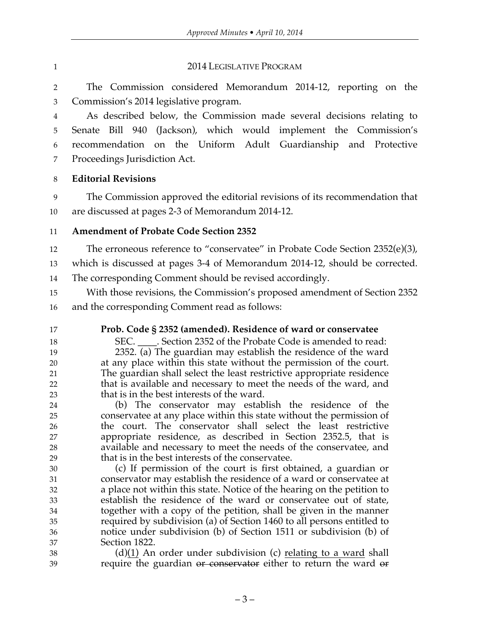### 1 2014 LEGISLATIVE PROGRAM

 The Commission considered Memorandum 2014-12, reporting on the Commission's 2014 legislative program.

 As described below, the Commission made several decisions relating to Senate Bill 940 (Jackson), which would implement the Commission's recommendation on the Uniform Adult Guardianship and Protective Proceedings Jurisdiction Act.

**Editorial Revisions**

 The Commission approved the editorial revisions of its recommendation that are discussed at pages 2-3 of Memorandum 2014-12.

# **Amendment of Probate Code Section 2352**

- 12 The erroneous reference to "conservatee" in Probate Code Section 2352(e)(3),
- which is discussed at pages 3-4 of Memorandum 2014-12, should be corrected.

The corresponding Comment should be revised accordingly.

With those revisions, the Commission's proposed amendment of Section 2352

and the corresponding Comment read as follows:

# **Prob. Code § 2352 (amended). Residence of ward or conservatee**

18 SEC. Section 2352 of the Probate Code is amended to read: 2352. (a) The guardian may establish the residence of the ward

 at any place within this state without the permission of the court. The guardian shall select the least restrictive appropriate residence that is available and necessary to meet the needs of the ward, and that is in the best interests of the ward.

 (b) The conservator may establish the residence of the conservatee at any place within this state without the permission of the court. The conservator shall select the least restrictive appropriate residence, as described in Section 2352.5, that is available and necessary to meet the needs of the conservatee, and that is in the best interests of the conservatee.

 (c) If permission of the court is first obtained, a guardian or conservator may establish the residence of a ward or conservatee at a place not within this state. Notice of the hearing on the petition to establish the residence of the ward or conservatee out of state, together with a copy of the petition, shall be given in the manner required by subdivision (a) of Section 1460 to all persons entitled to notice under subdivision (b) of Section 1511 or subdivision (b) of Section 1822.

 (d)(1) An order under subdivision (c) relating to a ward shall 39 require the guardian or conservator either to return the ward or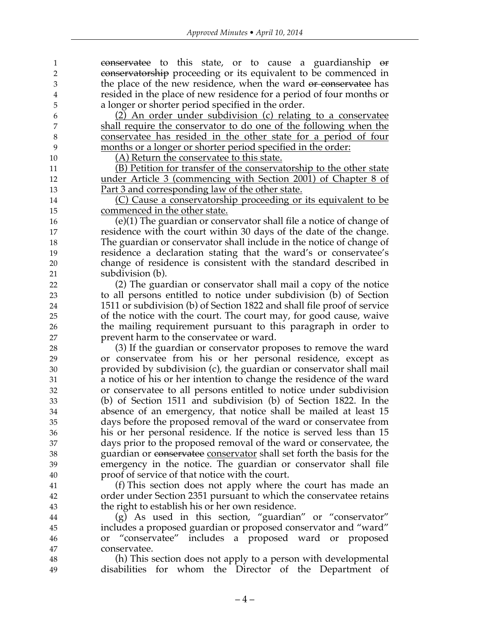**conservatee** to this state, or to cause a guardianship or 2 conservatorship proceeding or its equivalent to be commenced in 3 the place of the new residence, when the ward <del>or conservatee</del> has resided in the place of new residence for a period of four months or a longer or shorter period specified in the order.

 (2) An order under subdivision (c) relating to a conservatee shall require the conservator to do one of the following when the conservatee has resided in the other state for a period of four months or a longer or shorter period specified in the order:

(A) Return the conservatee to this state.

 (B) Petition for transfer of the conservatorship to the other state under Article 3 (commencing with Section 2001) of Chapter 8 of Part 3 and corresponding law of the other state.

 (C) Cause a conservatorship proceeding or its equivalent to be commenced in the other state.

 (e)(1) The guardian or conservator shall file a notice of change of residence with the court within 30 days of the date of the change. The guardian or conservator shall include in the notice of change of residence a declaration stating that the ward's or conservatee's change of residence is consistent with the standard described in subdivision (b).

 (2) The guardian or conservator shall mail a copy of the notice to all persons entitled to notice under subdivision (b) of Section 1511 or subdivision (b) of Section 1822 and shall file proof of service of the notice with the court. The court may, for good cause, waive the mailing requirement pursuant to this paragraph in order to prevent harm to the conservatee or ward.

 (3) If the guardian or conservator proposes to remove the ward or conservatee from his or her personal residence, except as provided by subdivision (c), the guardian or conservator shall mail a notice of his or her intention to change the residence of the ward or conservatee to all persons entitled to notice under subdivision (b) of Section 1511 and subdivision (b) of Section 1822. In the absence of an emergency, that notice shall be mailed at least 15 days before the proposed removal of the ward or conservatee from his or her personal residence. If the notice is served less than 15 days prior to the proposed removal of the ward or conservatee, the 38 38 guardian or conservate conservator shall set forth the basis for the emergency in the notice. The guardian or conservator shall file proof of service of that notice with the court.

 (f) This section does not apply where the court has made an order under Section 2351 pursuant to which the conservatee retains the right to establish his or her own residence.

 (g) As used in this section, "guardian" or "conservator" includes a proposed guardian or proposed conservator and "ward" or "conservatee" includes a proposed ward or proposed conservatee.

 (h) This section does not apply to a person with developmental disabilities for whom the Director of the Department of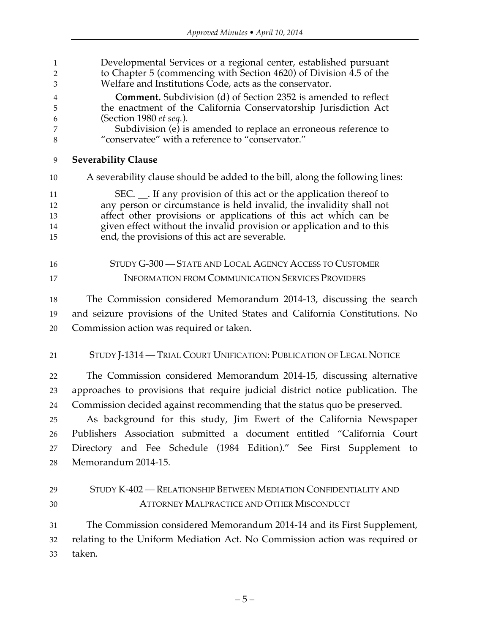| $\mathbf{1}$<br>$\overline{2}$<br>3 | Developmental Services or a regional center, established pursuant<br>to Chapter 5 (commencing with Section 4620) of Division 4.5 of the<br>Welfare and Institutions Code, acts as the conservator. |
|-------------------------------------|----------------------------------------------------------------------------------------------------------------------------------------------------------------------------------------------------|
| 4<br>5                              | <b>Comment.</b> Subdivision (d) of Section 2352 is amended to reflect<br>the enactment of the California Conservatorship Jurisdiction Act                                                          |
| 6                                   | (Section 1980 et seq.).                                                                                                                                                                            |
| 7<br>8                              | Subdivision (e) is amended to replace an erroneous reference to<br>"conservatee" with a reference to "conservator."                                                                                |
| 9                                   | <b>Severability Clause</b>                                                                                                                                                                         |
| 10                                  | A severability clause should be added to the bill, along the following lines:                                                                                                                      |
| 11                                  | SEC. __. If any provision of this act or the application thereof to                                                                                                                                |
| 12                                  | any person or circumstance is held invalid, the invalidity shall not                                                                                                                               |
| 13<br>14                            | affect other provisions or applications of this act which can be<br>given effect without the invalid provision or application and to this                                                          |
| 15                                  | end, the provisions of this act are severable.                                                                                                                                                     |
| 16                                  | STUDY G-300 - STATE AND LOCAL AGENCY ACCESS TO CUSTOMER                                                                                                                                            |
| 17                                  | <b>INFORMATION FROM COMMUNICATION SERVICES PROVIDERS</b>                                                                                                                                           |
| 18                                  | The Commission considered Memorandum 2014-13, discussing the search                                                                                                                                |
| 19                                  | and seizure provisions of the United States and California Constitutions. No                                                                                                                       |
| 20                                  | Commission action was required or taken.                                                                                                                                                           |
| 21                                  | STUDY J-1314 — TRIAL COURT UNIFICATION: PUBLICATION OF LEGAL NOTICE                                                                                                                                |
| 22                                  | The Commission considered Memorandum 2014-15, discussing alternative                                                                                                                               |
| 23                                  | approaches to provisions that require judicial district notice publication. The                                                                                                                    |
| 24                                  | Commission decided against recommending that the status quo be preserved.                                                                                                                          |
| 25                                  | As background for this study, Jim Ewert of the California Newspaper                                                                                                                                |
| 26                                  | Publishers Association submitted a document entitled "California Court                                                                                                                             |
| 27                                  | Directory and Fee Schedule (1984 Edition)." See First Supplement to                                                                                                                                |
| 28                                  | Memorandum 2014-15.                                                                                                                                                                                |
| 29                                  | STUDY K-402 — RELATIONSHIP BETWEEN MEDIATION CONFIDENTIALITY AND                                                                                                                                   |
| 30                                  | <b>ATTORNEY MALPRACTICE AND OTHER MISCONDUCT</b>                                                                                                                                                   |
| 31                                  | The Commission considered Memorandum 2014-14 and its First Supplement,                                                                                                                             |
| 32                                  | relating to the Uniform Mediation Act. No Commission action was required or                                                                                                                        |
| 33                                  | taken.                                                                                                                                                                                             |